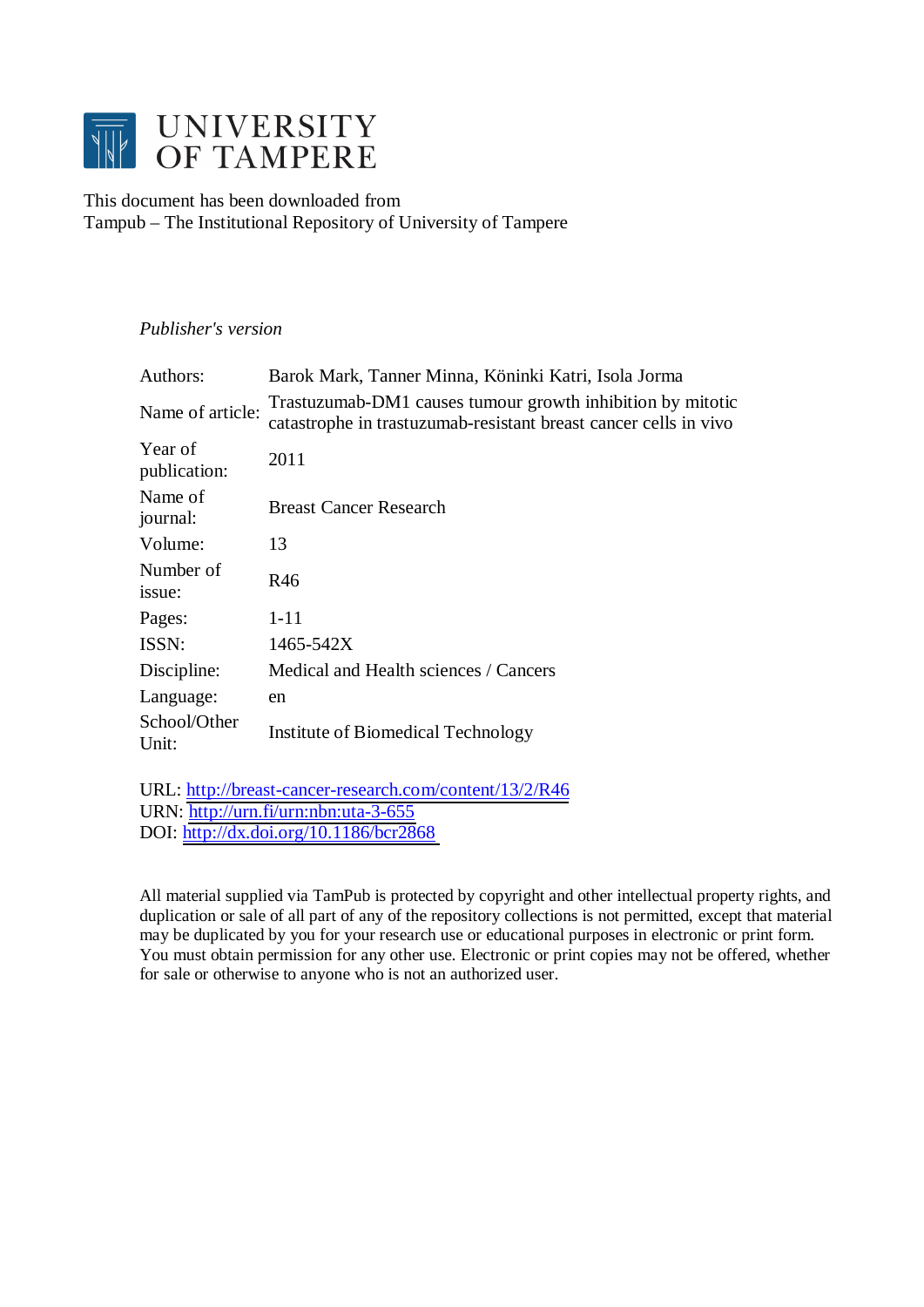

This document has been downloaded from Tampub – The Institutional Repository of University of Tampere

# *Publisher's version*

| Authors:                | Barok Mark, Tanner Minna, Köninki Katri, Isola Jorma                                                                           |
|-------------------------|--------------------------------------------------------------------------------------------------------------------------------|
| Name of article:        | Trastuzumab-DM1 causes tumour growth inhibition by mitotic<br>catastrophe in trastuzumab-resistant breast cancer cells in vivo |
| Year of<br>publication: | 2011                                                                                                                           |
| Name of<br>journal:     | <b>Breast Cancer Research</b>                                                                                                  |
| Volume:                 | 13                                                                                                                             |
| Number of<br>issue:     | R46                                                                                                                            |
| Pages:                  | $1 - 11$                                                                                                                       |
| ISSN:                   | 1465-542X                                                                                                                      |
| Discipline:             | Medical and Health sciences / Cancers                                                                                          |
| Language:               | en                                                                                                                             |
| School/Other<br>Unit:   | Institute of Biomedical Technology                                                                                             |
|                         |                                                                                                                                |

URL: <http://breast-cancer-research.com/content/13/2/R46> URN: <http://urn.fi/urn:nbn:uta-3-655> DOI: <http://dx.doi.org/10.1186/bcr2868>

All material supplied via TamPub is protected by copyright and other intellectual property rights, and duplication or sale of all part of any of the repository collections is not permitted, except that material may be duplicated by you for your research use or educational purposes in electronic or print form. You must obtain permission for any other use. Electronic or print copies may not be offered, whether for sale or otherwise to anyone who is not an authorized user.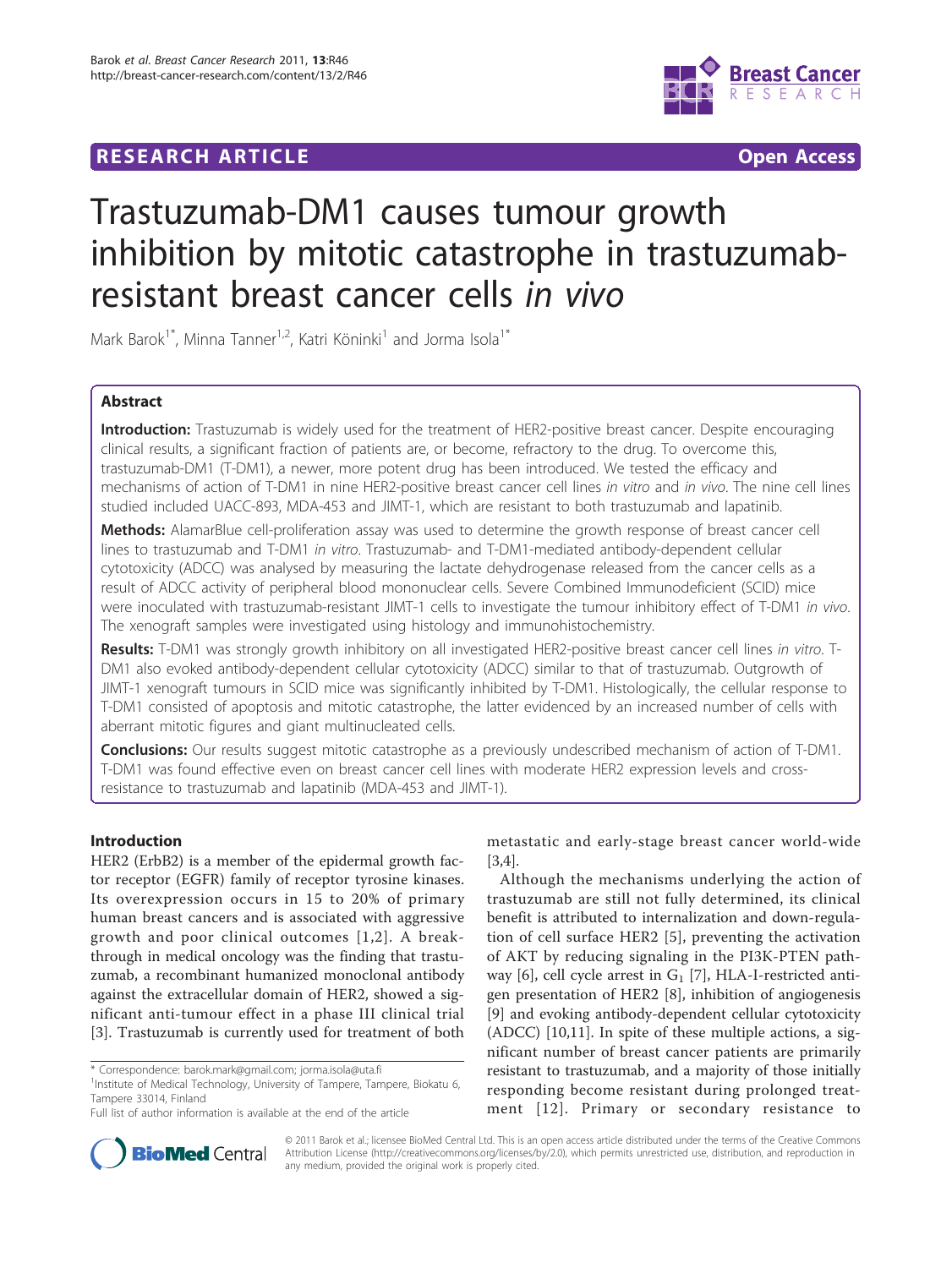# **RESEARCH ARTICLE Example 2018 CONSUMING ACCESS**



# Trastuzumab-DM1 causes tumour growth inhibition by mitotic catastrophe in trastuzumabresistant breast cancer cells in vivo

Mark Barok<sup>1\*</sup>, Minna Tanner<sup>1,2</sup>, Katri Köninki<sup>1</sup> and Jorma Isola<sup>1\*</sup>

# Abstract

Introduction: Trastuzumab is widely used for the treatment of HER2-positive breast cancer. Despite encouraging clinical results, a significant fraction of patients are, or become, refractory to the drug. To overcome this, trastuzumab-DM1 (T-DM1), a newer, more potent drug has been introduced. We tested the efficacy and mechanisms of action of T-DM1 in nine HER2-positive breast cancer cell lines in vitro and in vivo. The nine cell lines studied included UACC-893, MDA-453 and JIMT-1, which are resistant to both trastuzumab and lapatinib.

Methods: AlamarBlue cell-proliferation assay was used to determine the growth response of breast cancer cell lines to trastuzumab and T-DM1 in vitro. Trastuzumab- and T-DM1-mediated antibody-dependent cellular cytotoxicity (ADCC) was analysed by measuring the lactate dehydrogenase released from the cancer cells as a result of ADCC activity of peripheral blood mononuclear cells. Severe Combined Immunodeficient (SCID) mice were inoculated with trastuzumab-resistant JIMT-1 cells to investigate the tumour inhibitory effect of T-DM1 in vivo. The xenograft samples were investigated using histology and immunohistochemistry.

Results: T-DM1 was strongly growth inhibitory on all investigated HER2-positive breast cancer cell lines in vitro. T-DM1 also evoked antibody-dependent cellular cytotoxicity (ADCC) similar to that of trastuzumab. Outgrowth of JIMT-1 xenograft tumours in SCID mice was significantly inhibited by T-DM1. Histologically, the cellular response to T-DM1 consisted of apoptosis and mitotic catastrophe, the latter evidenced by an increased number of cells with aberrant mitotic figures and giant multinucleated cells.

**Conclusions:** Our results suggest mitotic catastrophe as a previously undescribed mechanism of action of T-DM1. T-DM1 was found effective even on breast cancer cell lines with moderate HER2 expression levels and crossresistance to trastuzumab and lapatinib (MDA-453 and JIMT-1).

# Introduction

HER2 (ErbB2) is a member of the epidermal growth factor receptor (EGFR) family of receptor tyrosine kinases. Its overexpression occurs in 15 to 20% of primary human breast cancers and is associated with aggressive growth and poor clinical outcomes [[1,2\]](#page-10-0). A breakthrough in medical oncology was the finding that trastuzumab, a recombinant humanized monoclonal antibody against the extracellular domain of HER2, showed a significant anti-tumour effect in a phase III clinical trial [[3\]](#page-10-0). Trastuzumab is currently used for treatment of both

metastatic and early-stage breast cancer world-wide [[3,4\]](#page-10-0).

Although the mechanisms underlying the action of trastuzumab are still not fully determined, its clinical benefit is attributed to internalization and down-regulation of cell surface HER2 [[5\]](#page-10-0), preventing the activation of AKT by reducing signaling in the PI3K-PTEN path-way [[6](#page-10-0)], cell cycle arrest in  $G_1$  [[7](#page-10-0)], HLA-I-restricted antigen presentation of HER2 [[8\]](#page-10-0), inhibition of angiogenesis [[9\]](#page-10-0) and evoking antibody-dependent cellular cytotoxicity (ADCC) [[10,11\]](#page-10-0). In spite of these multiple actions, a significant number of breast cancer patients are primarily resistant to trastuzumab, and a majority of those initially responding become resistant during prolonged treatment [[12\]](#page-11-0). Primary or secondary resistance to



© 2011 Barok et al.; licensee BioMed Central Ltd. This is an open access article distributed under the terms of the Creative Commons Attribution License [\(http://creativecommons.org/licenses/by/2.0](http://creativecommons.org/licenses/by/2.0)), which permits unrestricted use, distribution, and reproduction in any medium, provided the original work is properly cited.

<sup>\*</sup> Correspondence: [barok.mark@gmail.com](mailto:barok.mark@gmail.com); [jorma.isola@uta.fi](mailto:jorma.isola@uta.fi)

<sup>&</sup>lt;sup>1</sup>Institute of Medical Technology, University of Tampere, Tampere, Biokatu 6, Tampere 33014, Finland

Full list of author information is available at the end of the article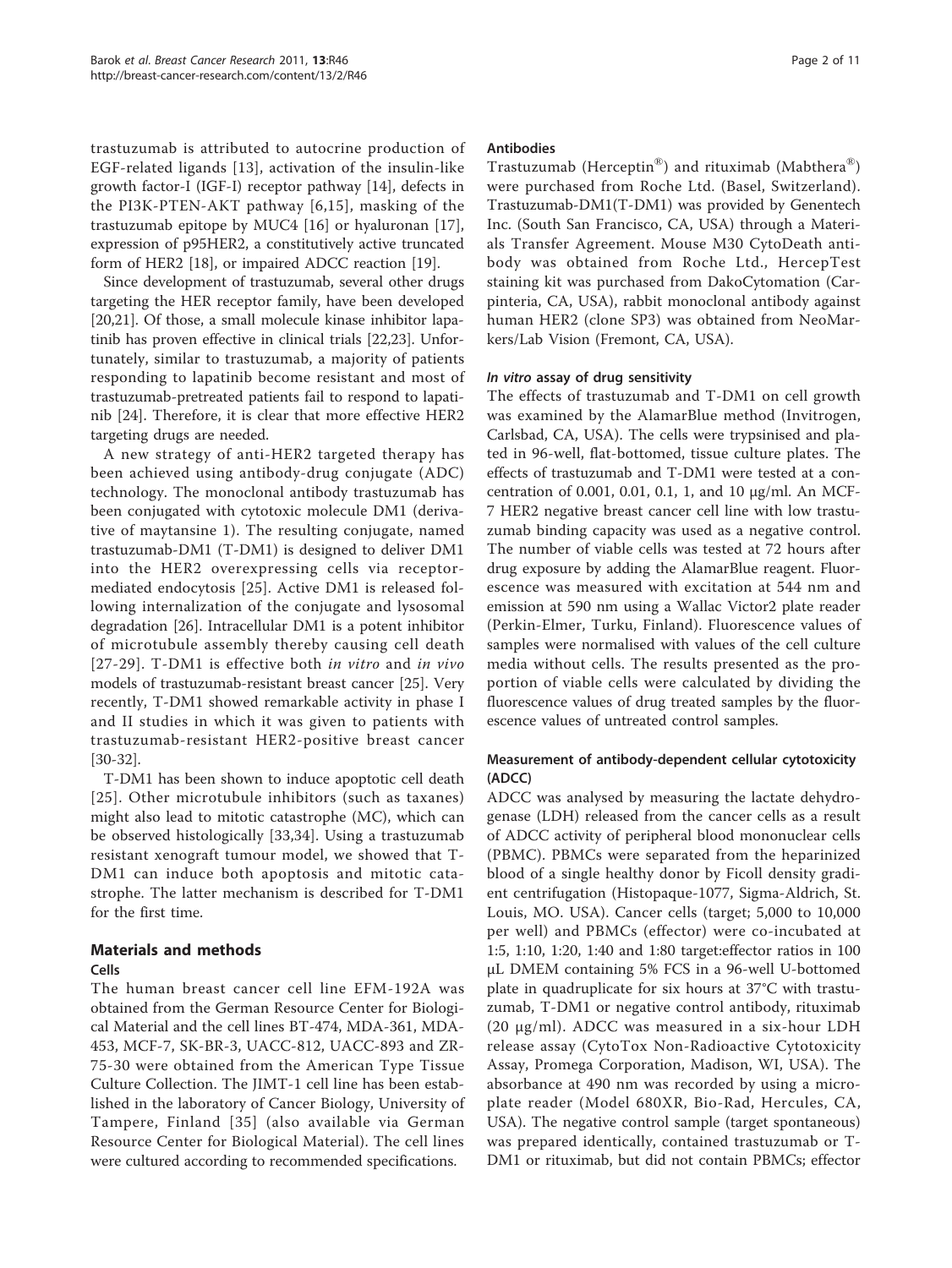trastuzumab is attributed to autocrine production of EGF-related ligands [[13](#page-11-0)], activation of the insulin-like growth factor-I (IGF-I) receptor pathway [[14](#page-11-0)], defects in the PI3K-PTEN-AKT pathway [[6,](#page-10-0)[15](#page-11-0)], masking of the trastuzumab epitope by MUC4 [\[16](#page-11-0)] or hyaluronan [\[17](#page-11-0)], expression of p95HER2, a constitutively active truncated form of HER2 [\[18\]](#page-11-0), or impaired ADCC reaction [[19](#page-11-0)].

Since development of trastuzumab, several other drugs targeting the HER receptor family, have been developed [[20,21\]](#page-11-0). Of those, a small molecule kinase inhibitor lapatinib has proven effective in clinical trials [[22](#page-11-0),[23](#page-11-0)]. Unfortunately, similar to trastuzumab, a majority of patients responding to lapatinib become resistant and most of trastuzumab-pretreated patients fail to respond to lapatinib [[24\]](#page-11-0). Therefore, it is clear that more effective HER2 targeting drugs are needed.

A new strategy of anti-HER2 targeted therapy has been achieved using antibody-drug conjugate (ADC) technology. The monoclonal antibody trastuzumab has been conjugated with cytotoxic molecule DM1 (derivative of maytansine 1). The resulting conjugate, named trastuzumab-DM1 (T-DM1) is designed to deliver DM1 into the HER2 overexpressing cells via receptormediated endocytosis [\[25](#page-11-0)]. Active DM1 is released following internalization of the conjugate and lysosomal degradation [[26](#page-11-0)]. Intracellular DM1 is a potent inhibitor of microtubule assembly thereby causing cell death [[27-29\]](#page-11-0). T-DM1 is effective both in vitro and in vivo models of trastuzumab-resistant breast cancer [[25\]](#page-11-0). Very recently, T-DM1 showed remarkable activity in phase I and II studies in which it was given to patients with trastuzumab-resistant HER2-positive breast cancer [[30-32\]](#page-11-0).

T-DM1 has been shown to induce apoptotic cell death [[25\]](#page-11-0). Other microtubule inhibitors (such as taxanes) might also lead to mitotic catastrophe (MC), which can be observed histologically [[33,34](#page-11-0)]. Using a trastuzumab resistant xenograft tumour model, we showed that T-DM1 can induce both apoptosis and mitotic catastrophe. The latter mechanism is described for T-DM1 for the first time.

# Materials and methods

# Cells

The human breast cancer cell line EFM-192A was obtained from the German Resource Center for Biological Material and the cell lines BT-474, MDA-361, MDA-453, MCF-7, SK-BR-3, UACC-812, UACC-893 and ZR-75-30 were obtained from the American Type Tissue Culture Collection. The JIMT-1 cell line has been established in the laboratory of Cancer Biology, University of Tampere, Finland [[35\]](#page-11-0) (also available via German Resource Center for Biological Material). The cell lines were cultured according to recommended specifications.

# Antibodies

Trastuzumab (Herceptin®) and rituximab (Mabthera®) were purchased from Roche Ltd. (Basel, Switzerland). Trastuzumab-DM1(T-DM1) was provided by Genentech Inc. (South San Francisco, CA, USA) through a Materials Transfer Agreement. Mouse M30 CytoDeath antibody was obtained from Roche Ltd., HercepTest staining kit was purchased from DakoCytomation (Carpinteria, CA, USA), rabbit monoclonal antibody against human HER2 (clone SP3) was obtained from NeoMarkers/Lab Vision (Fremont, CA, USA).

# In vitro assay of drug sensitivity

The effects of trastuzumab and T-DM1 on cell growth was examined by the AlamarBlue method (Invitrogen, Carlsbad, CA, USA). The cells were trypsinised and plated in 96-well, flat-bottomed, tissue culture plates. The effects of trastuzumab and T-DM1 were tested at a concentration of 0.001, 0.01, 0.1, 1, and 10 μg/ml. An MCF-7 HER2 negative breast cancer cell line with low trastuzumab binding capacity was used as a negative control. The number of viable cells was tested at 72 hours after drug exposure by adding the AlamarBlue reagent. Fluorescence was measured with excitation at 544 nm and emission at 590 nm using a Wallac Victor2 plate reader (Perkin-Elmer, Turku, Finland). Fluorescence values of samples were normalised with values of the cell culture media without cells. The results presented as the proportion of viable cells were calculated by dividing the fluorescence values of drug treated samples by the fluorescence values of untreated control samples.

# Measurement of antibody-dependent cellular cytotoxicity (ADCC)

ADCC was analysed by measuring the lactate dehydrogenase (LDH) released from the cancer cells as a result of ADCC activity of peripheral blood mononuclear cells (PBMC). PBMCs were separated from the heparinized blood of a single healthy donor by Ficoll density gradient centrifugation (Histopaque-1077, Sigma-Aldrich, St. Louis, MO. USA). Cancer cells (target; 5,000 to 10,000 per well) and PBMCs (effector) were co-incubated at 1:5, 1:10, 1:20, 1:40 and 1:80 target:effector ratios in 100 μL DMEM containing 5% FCS in a 96-well U-bottomed plate in quadruplicate for six hours at 37°C with trastuzumab, T-DM1 or negative control antibody, rituximab (20 μg/ml). ADCC was measured in a six-hour LDH release assay (CytoTox Non-Radioactive Cytotoxicity Assay, Promega Corporation, Madison, WI, USA). The absorbance at 490 nm was recorded by using a microplate reader (Model 680XR, Bio-Rad, Hercules, CA, USA). The negative control sample (target spontaneous) was prepared identically, contained trastuzumab or T-DM1 or rituximab, but did not contain PBMCs; effector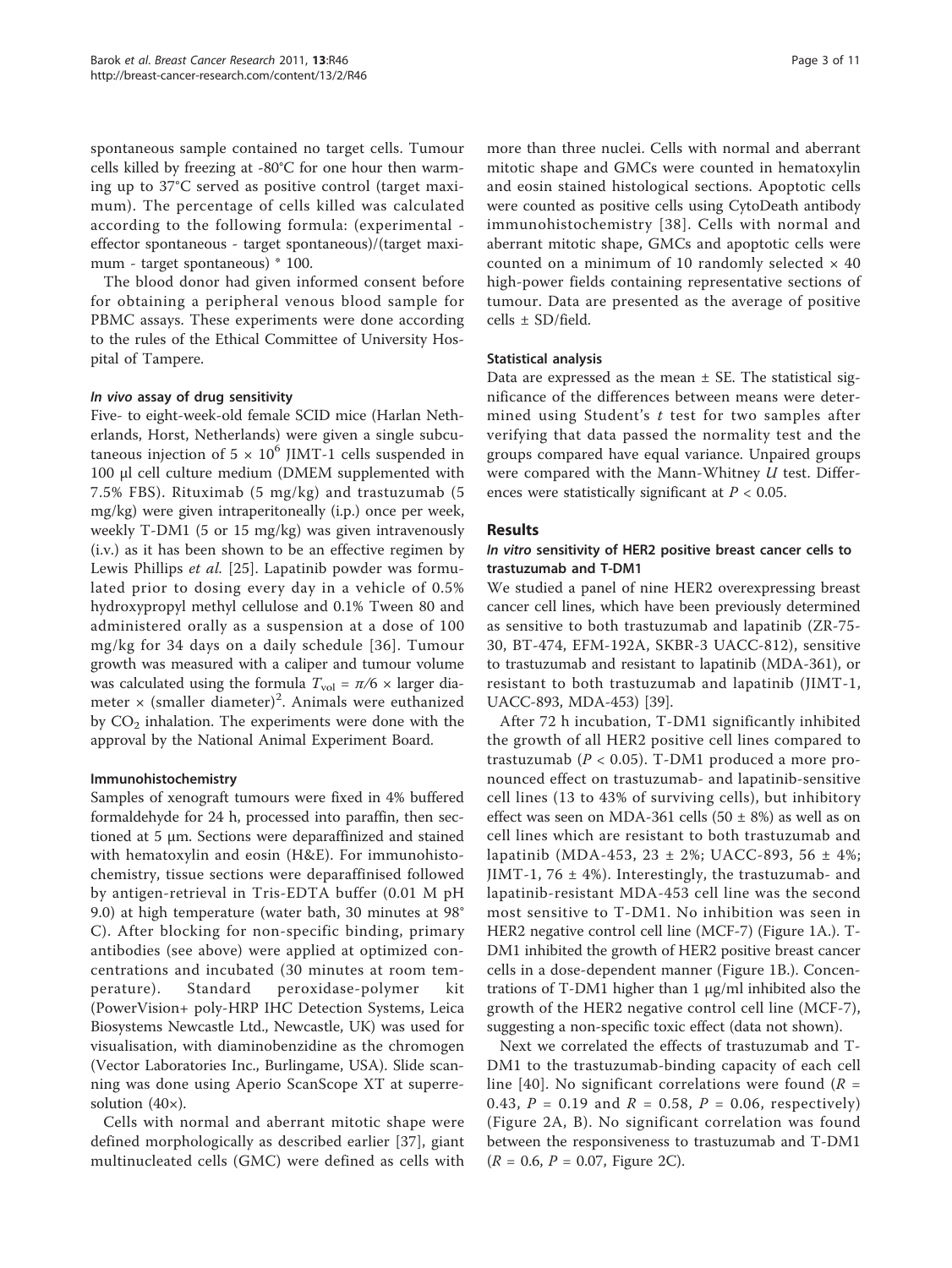spontaneous sample contained no target cells. Tumour cells killed by freezing at -80°C for one hour then warming up to 37°C served as positive control (target maximum). The percentage of cells killed was calculated according to the following formula: (experimental effector spontaneous - target spontaneous)/(target maximum - target spontaneous) \* 100.

The blood donor had given informed consent before for obtaining a peripheral venous blood sample for PBMC assays. These experiments were done according to the rules of the Ethical Committee of University Hospital of Tampere.

## In vivo assay of drug sensitivity

Five- to eight-week-old female SCID mice (Harlan Netherlands, Horst, Netherlands) were given a single subcutaneous injection of  $5 \times 10^6$  JIMT-1 cells suspended in 100 μl cell culture medium (DMEM supplemented with 7.5% FBS). Rituximab (5 mg/kg) and trastuzumab (5 mg/kg) were given intraperitoneally (i.p.) once per week, weekly T-DM1 (5 or 15 mg/kg) was given intravenously (i.v.) as it has been shown to be an effective regimen by Lewis Phillips et al. [\[25](#page-11-0)]. Lapatinib powder was formulated prior to dosing every day in a vehicle of 0.5% hydroxypropyl methyl cellulose and 0.1% Tween 80 and administered orally as a suspension at a dose of 100 mg/kg for 34 days on a daily schedule [[36\]](#page-11-0). Tumour growth was measured with a caliper and tumour volume was calculated using the formula  $T_{\text{vol}} = \pi/6 \times \text{larger dia-}$ meter  $\times$  (smaller diameter)<sup>2</sup>. Animals were euthanized by  $CO<sub>2</sub>$  inhalation. The experiments were done with the approval by the National Animal Experiment Board.

# Immunohistochemistry

Samples of xenograft tumours were fixed in 4% buffered formaldehyde for 24 h, processed into paraffin, then sectioned at 5 μm. Sections were deparaffinized and stained with hematoxylin and eosin (H&E). For immunohistochemistry, tissue sections were deparaffinised followed by antigen-retrieval in Tris-EDTA buffer (0.01 M pH 9.0) at high temperature (water bath, 30 minutes at 98° C). After blocking for non-specific binding, primary antibodies (see above) were applied at optimized concentrations and incubated (30 minutes at room temperature). Standard peroxidase-polymer kit (PowerVision+ poly-HRP IHC Detection Systems, Leica Biosystems Newcastle Ltd., Newcastle, UK) was used for visualisation, with diaminobenzidine as the chromogen (Vector Laboratories Inc., Burlingame, USA). Slide scanning was done using Aperio ScanScope XT at superresolution  $(40\times)$ .

Cells with normal and aberrant mitotic shape were defined morphologically as described earlier [[37\]](#page-11-0), giant multinucleated cells (GMC) were defined as cells with

more than three nuclei. Cells with normal and aberrant mitotic shape and GMCs were counted in hematoxylin and eosin stained histological sections. Apoptotic cells were counted as positive cells using CytoDeath antibody immunohistochemistry [[38\]](#page-11-0). Cells with normal and aberrant mitotic shape, GMCs and apoptotic cells were counted on a minimum of 10 randomly selected  $\times$  40 high-power fields containing representative sections of tumour. Data are presented as the average of positive cells ± SD/field.

## Statistical analysis

Data are expressed as the mean  $\pm$  SE. The statistical significance of the differences between means were determined using Student's t test for two samples after verifying that data passed the normality test and the groups compared have equal variance. Unpaired groups were compared with the Mann-Whitney U test. Differences were statistically significant at  $P < 0.05$ .

## Results

## In vitro sensitivity of HER2 positive breast cancer cells to trastuzumab and T-DM1

We studied a panel of nine HER2 overexpressing breast cancer cell lines, which have been previously determined as sensitive to both trastuzumab and lapatinib (ZR-75- 30, BT-474, EFM-192A, SKBR-3 UACC-812), sensitive to trastuzumab and resistant to lapatinib (MDA-361), or resistant to both trastuzumab and lapatinib (JIMT-1, UACC-893, MDA-453) [\[39](#page-11-0)].

After 72 h incubation, T-DM1 significantly inhibited the growth of all HER2 positive cell lines compared to trastuzumab ( $P < 0.05$ ). T-DM1 produced a more pronounced effect on trastuzumab- and lapatinib-sensitive cell lines (13 to 43% of surviving cells), but inhibitory effect was seen on MDA-361 cells (50  $\pm$  8%) as well as on cell lines which are resistant to both trastuzumab and lapatinib (MDA-453, 23 ± 2%; UACC-893, 56 ± 4%; JIMT-1, 76  $\pm$  4%). Interestingly, the trastuzumab- and lapatinib-resistant MDA-453 cell line was the second most sensitive to T-DM1. No inhibition was seen in HER2 negative control cell line (MCF-7) (Figure [1A](#page-4-0).). T-DM1 inhibited the growth of HER2 positive breast cancer cells in a dose-dependent manner (Figure [1B](#page-4-0).). Concentrations of T-DM1 higher than 1 μg/ml inhibited also the growth of the HER2 negative control cell line (MCF-7), suggesting a non-specific toxic effect (data not shown).

Next we correlated the effects of trastuzumab and T-DM1 to the trastuzumab-binding capacity of each cell line [[40\]](#page-11-0). No significant correlations were found ( $R =$ 0.43,  $P = 0.19$  and  $R = 0.58$ ,  $P = 0.06$ , respectively) (Figure [2A, B\)](#page-5-0). No significant correlation was found between the responsiveness to trastuzumab and T-DM1  $(R = 0.6, P = 0.07,$  Figure [2C](#page-5-0)).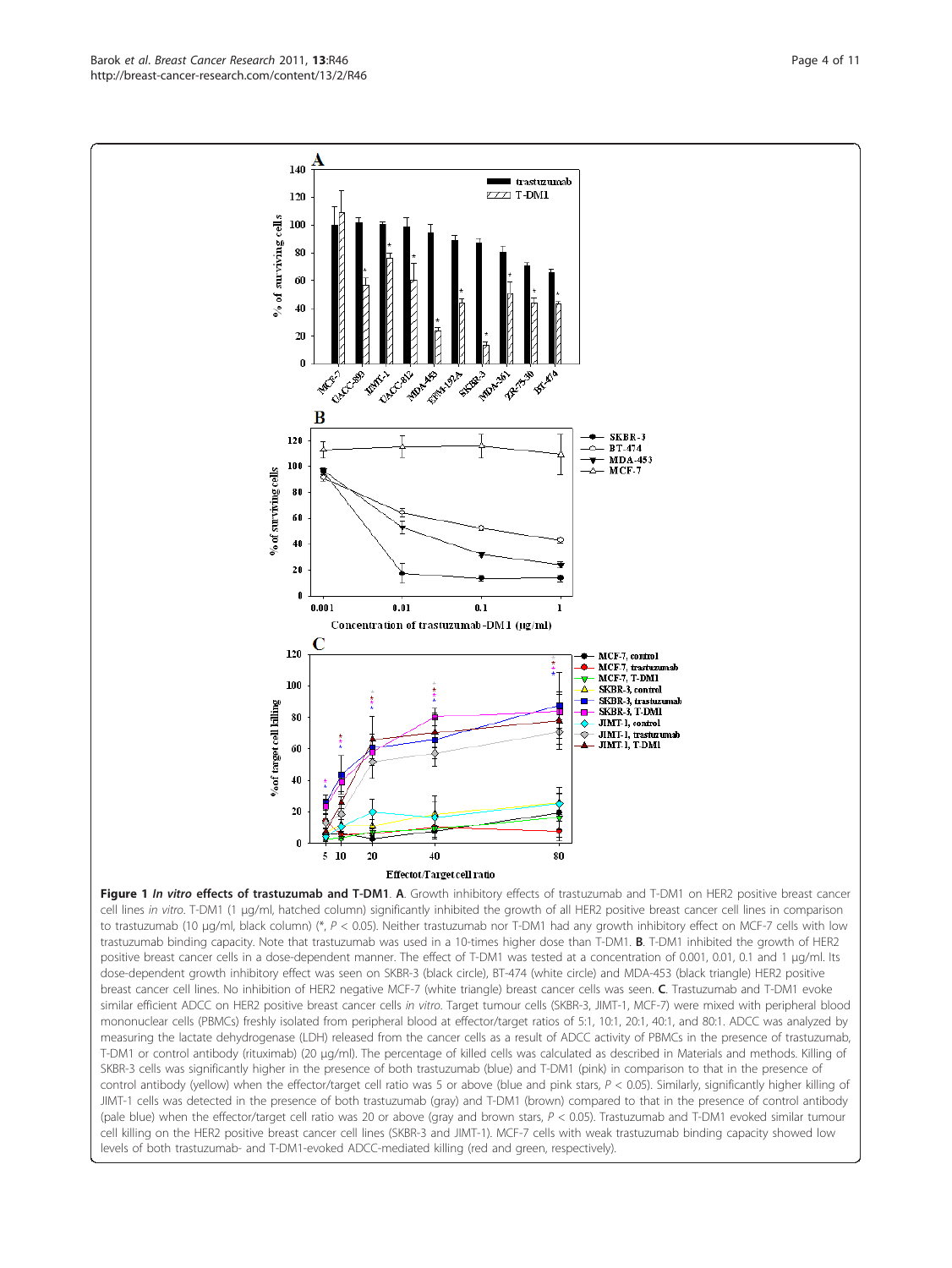<span id="page-4-0"></span>Barok et al. Breast Cancer Research 2011, 13:R46 http://breast-cancer-research.com/content/13/2/R46



cell lines in vitro. T-DM1 (1 μg/ml, hatched column) significantly inhibited the growth of all HER2 positive breast cancer cell lines in comparison to trastuzumab (10 μg/ml, black column) (\*, P < 0.05). Neither trastuzumab nor T-DM1 had any growth inhibitory effect on MCF-7 cells with low trastuzumab binding capacity. Note that trastuzumab was used in a 10-times higher dose than T-DM1. B. T-DM1 inhibited the growth of HER2 positive breast cancer cells in a dose-dependent manner. The effect of T-DM1 was tested at a concentration of 0.001, 0.01, 0.1 and 1 μg/ml. Its dose-dependent growth inhibitory effect was seen on SKBR-3 (black circle), BT-474 (white circle) and MDA-453 (black triangle) HER2 positive breast cancer cell lines. No inhibition of HER2 negative MCF-7 (white triangle) breast cancer cells was seen. C. Trastuzumab and T-DM1 evoke similar efficient ADCC on HER2 positive breast cancer cells in vitro. Target tumour cells (SKBR-3, JIMT-1, MCF-7) were mixed with peripheral blood mononuclear cells (PBMCs) freshly isolated from peripheral blood at effector/target ratios of 5:1, 10:1, 20:1, 40:1, and 80:1. ADCC was analyzed by measuring the lactate dehydrogenase (LDH) released from the cancer cells as a result of ADCC activity of PBMCs in the presence of trastuzumab, T-DM1 or control antibody (rituximab) (20 μg/ml). The percentage of killed cells was calculated as described in Materials and methods. Killing of SKBR-3 cells was significantly higher in the presence of both trastuzumab (blue) and T-DM1 (pink) in comparison to that in the presence of control antibody (yellow) when the effector/target cell ratio was 5 or above (blue and pink stars,  $P < 0.05$ ). Similarly, significantly higher killing of JIMT-1 cells was detected in the presence of both trastuzumab (gray) and T-DM1 (brown) compared to that in the presence of control antibody (pale blue) when the effector/target cell ratio was 20 or above (gray and brown stars,  $P < 0.05$ ). Trastuzumab and T-DM1 evoked similar tumour cell killing on the HER2 positive breast cancer cell lines (SKBR-3 and JIMT-1). MCF-7 cells with weak trastuzumab binding capacity showed low levels of both trastuzumab- and T-DM1-evoked ADCC-mediated killing (red and green, respectively).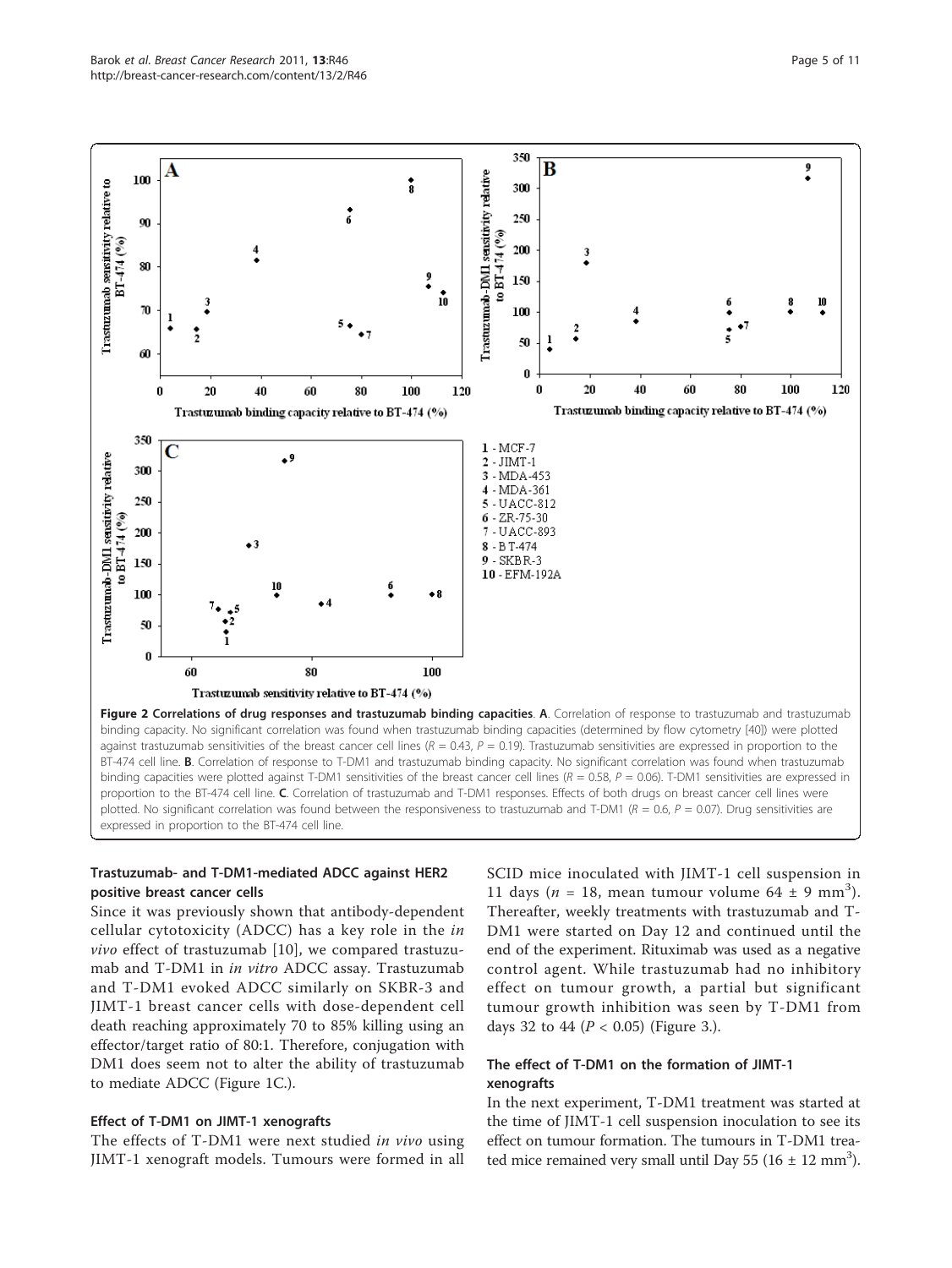<span id="page-5-0"></span>

expressed in proportion to the BT-474 cell line.

# Trastuzumab- and T-DM1-mediated ADCC against HER2 positive breast cancer cells

Since it was previously shown that antibody-dependent cellular cytotoxicity (ADCC) has a key role in the in vivo effect of trastuzumab [[10\]](#page-10-0), we compared trastuzumab and T-DM1 in in vitro ADCC assay. Trastuzumab and T-DM1 evoked ADCC similarly on SKBR-3 and JIMT-1 breast cancer cells with dose-dependent cell death reaching approximately 70 to 85% killing using an effector/target ratio of 80:1. Therefore, conjugation with DM1 does seem not to alter the ability of trastuzumab to mediate ADCC (Figure [1C.](#page-4-0)).

# Effect of T-DM1 on JIMT-1 xenografts

The effects of T-DM1 were next studied in vivo using JIMT-1 xenograft models. Tumours were formed in all SCID mice inoculated with JIMT-1 cell suspension in 11 days ( $n = 18$ , mean tumour volume 64 ± 9 mm<sup>3</sup>). Thereafter, weekly treatments with trastuzumab and T-DM1 were started on Day 12 and continued until the end of the experiment. Rituximab was used as a negative control agent. While trastuzumab had no inhibitory effect on tumour growth, a partial but significant tumour growth inhibition was seen by T-DM1 from days 32 to 44 ( $P < 0.05$ ) (Figure [3.](#page-6-0)).

# The effect of T-DM1 on the formation of JIMT-1 xenografts

In the next experiment, T-DM1 treatment was started at the time of JIMT-1 cell suspension inoculation to see its effect on tumour formation. The tumours in T-DM1 treated mice remained very small until Day 55 ( $16 \pm 12$  mm<sup>3</sup>).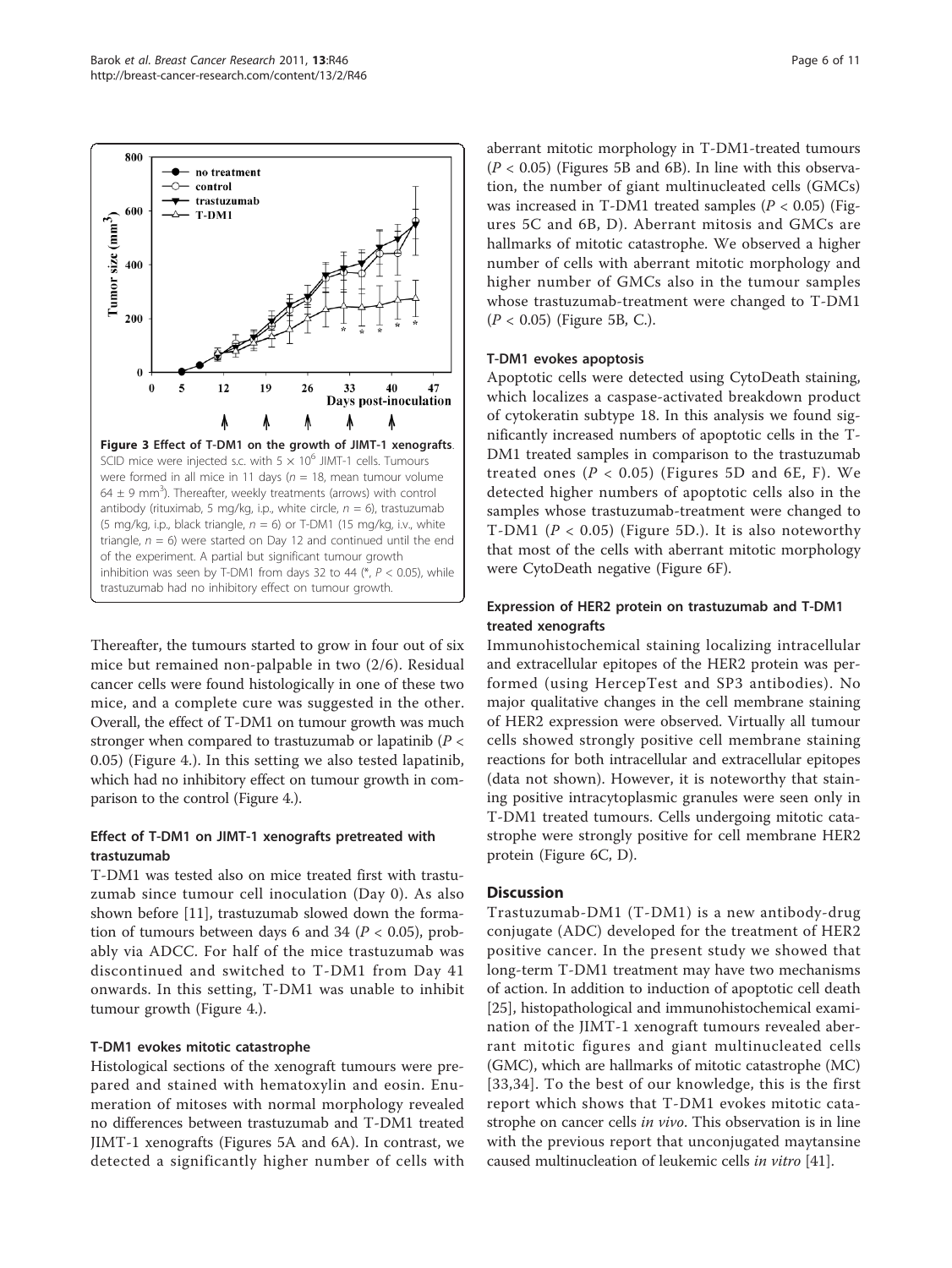<span id="page-6-0"></span>

Thereafter, the tumours started to grow in four out of six mice but remained non-palpable in two (2/6). Residual cancer cells were found histologically in one of these two mice, and a complete cure was suggested in the other. Overall, the effect of T-DM1 on tumour growth was much stronger when compared to trastuzumab or lapatinib ( $P <$ 0.05) (Figure [4](#page-7-0).). In this setting we also tested lapatinib, which had no inhibitory effect on tumour growth in comparison to the control (Figure [4.](#page-7-0)).

# Effect of T-DM1 on JIMT-1 xenografts pretreated with trastuzumab

T-DM1 was tested also on mice treated first with trastuzumab since tumour cell inoculation (Day 0). As also shown before [\[11\]](#page-10-0), trastuzumab slowed down the formation of tumours between days 6 and 34 ( $P < 0.05$ ), probably via ADCC. For half of the mice trastuzumab was discontinued and switched to T-DM1 from Day 41 onwards. In this setting, T-DM1 was unable to inhibit tumour growth (Figure [4](#page-7-0).).

# T-DM1 evokes mitotic catastrophe

Histological sections of the xenograft tumours were prepared and stained with hematoxylin and eosin. Enumeration of mitoses with normal morphology revealed no differences between trastuzumab and T-DM1 treated JIMT-1 xenografts (Figures [5A](#page-8-0) and [6A](#page-9-0)). In contrast, we detected a significantly higher number of cells with aberrant mitotic morphology in T-DM1-treated tumours  $(P < 0.05)$  (Figures [5B](#page-8-0) and [6B\)](#page-9-0). In line with this observation, the number of giant multinucleated cells (GMCs) was increased in T-DM1 treated samples ( $P < 0.05$ ) (Figures [5C](#page-8-0) and [6B, D\)](#page-9-0). Aberrant mitosis and GMCs are hallmarks of mitotic catastrophe. We observed a higher number of cells with aberrant mitotic morphology and higher number of GMCs also in the tumour samples whose trastuzumab-treatment were changed to T-DM1  $(P < 0.05)$  (Figure [5B, C](#page-8-0).).

## T-DM1 evokes apoptosis

Apoptotic cells were detected using CytoDeath staining, which localizes a caspase-activated breakdown product of cytokeratin subtype 18. In this analysis we found significantly increased numbers of apoptotic cells in the T-DM1 treated samples in comparison to the trastuzumab treated ones  $(P < 0.05)$  (Figures [5D](#page-8-0) and [6E, F\)](#page-9-0). We detected higher numbers of apoptotic cells also in the samples whose trastuzumab-treatment were changed to T-DM1 ( $P < 0.05$ ) (Figure [5D.](#page-8-0)). It is also noteworthy that most of the cells with aberrant mitotic morphology were CytoDeath negative (Figure [6F\)](#page-9-0).

# Expression of HER2 protein on trastuzumab and T-DM1 treated xenografts

Immunohistochemical staining localizing intracellular and extracellular epitopes of the HER2 protein was performed (using HercepTest and SP3 antibodies). No major qualitative changes in the cell membrane staining of HER2 expression were observed. Virtually all tumour cells showed strongly positive cell membrane staining reactions for both intracellular and extracellular epitopes (data not shown). However, it is noteworthy that staining positive intracytoplasmic granules were seen only in T-DM1 treated tumours. Cells undergoing mitotic catastrophe were strongly positive for cell membrane HER2 protein (Figure [6C, D](#page-9-0)).

## **Discussion**

Trastuzumab-DM1 (T-DM1) is a new antibody-drug conjugate (ADC) developed for the treatment of HER2 positive cancer. In the present study we showed that long-term T-DM1 treatment may have two mechanisms of action. In addition to induction of apoptotic cell death [[25\]](#page-11-0), histopathological and immunohistochemical examination of the JIMT-1 xenograft tumours revealed aberrant mitotic figures and giant multinucleated cells (GMC), which are hallmarks of mitotic catastrophe (MC) [[33,34](#page-11-0)]. To the best of our knowledge, this is the first report which shows that T-DM1 evokes mitotic catastrophe on cancer cells in vivo. This observation is in line with the previous report that unconjugated maytansine caused multinucleation of leukemic cells in vitro [\[41\]](#page-11-0).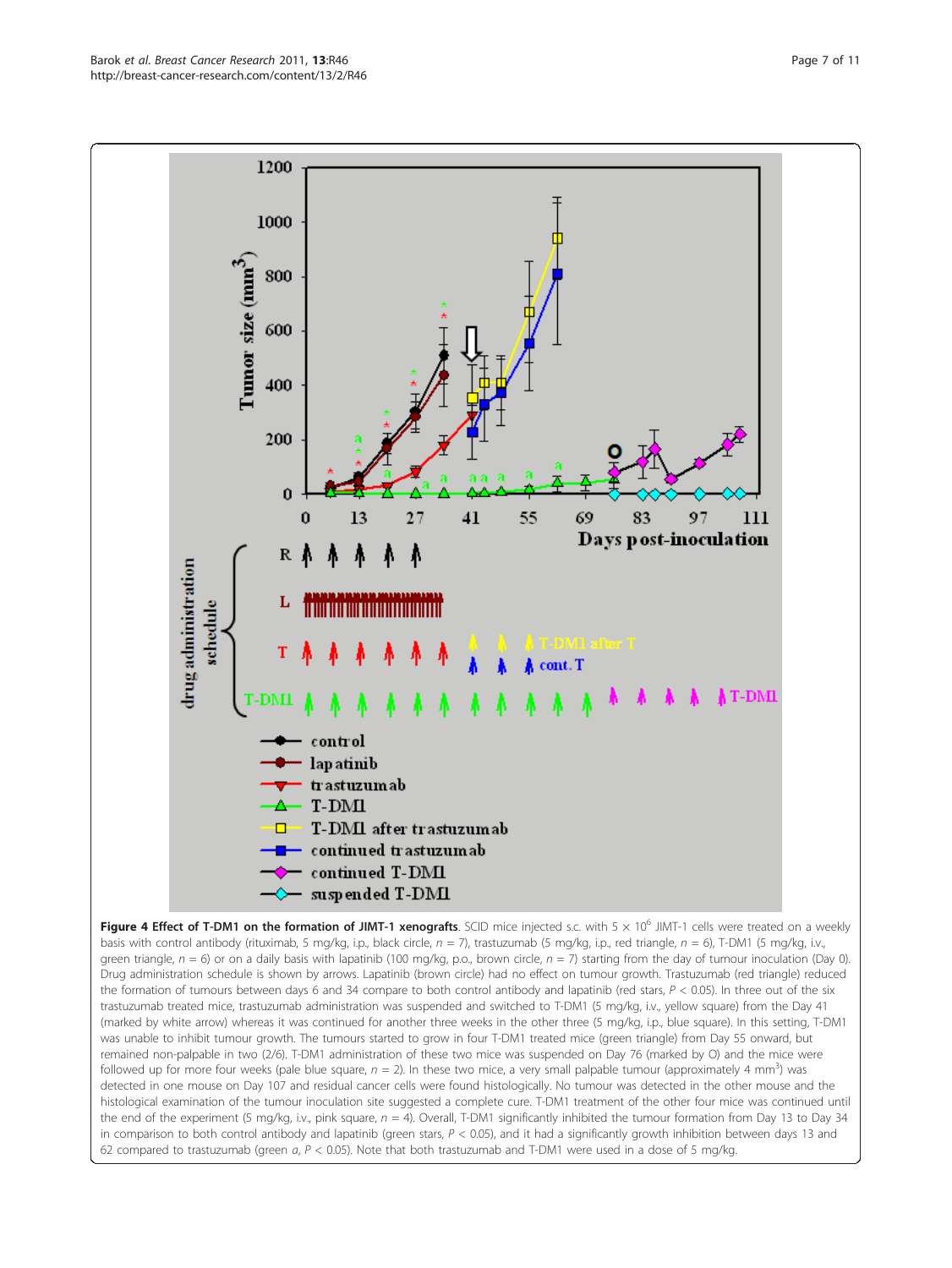<span id="page-7-0"></span>

Figure 4 Effect of T-DM1 on the formation of JIMT-1 xenografts. SCID mice injected s.c. with  $5 \times 10^6$  JIMT-1 cells were treated on a weekly basis with control antibody (rituximab, 5 mg/kg, i.p., black circle,  $n = 7$ ), trastuzumab (5 mg/kg, i.p., red triangle,  $n = 6$ ), T-DM1 (5 mg/kg, i.v., green triangle,  $n = 6$ ) or on a daily basis with lapatinib (100 mg/kg, p.o., brown circle,  $n = 7$ ) starting from the day of tumour inoculation (Day 0). Drug administration schedule is shown by arrows. Lapatinib (brown circle) had no effect on tumour growth. Trastuzumab (red triangle) reduced the formation of tumours between days 6 and 34 compare to both control antibody and lapatinib (red stars,  $P < 0.05$ ). In three out of the six trastuzumab treated mice, trastuzumab administration was suspended and switched to T-DM1 (5 mg/kg, i.v., yellow square) from the Day 41 (marked by white arrow) whereas it was continued for another three weeks in the other three (5 mg/kg, i.p., blue square). In this setting, T-DM1 was unable to inhibit tumour growth. The tumours started to grow in four T-DM1 treated mice (green triangle) from Day 55 onward, but remained non-palpable in two (2/6). T-DM1 administration of these two mice was suspended on Day 76 (marked by Ο) and the mice were followed up for more four weeks (pale blue square,  $n = 2$ ). In these two mice, a very small palpable tumour (approximately 4 mm<sup>3</sup>) was detected in one mouse on Day 107 and residual cancer cells were found histologically. No tumour was detected in the other mouse and the histological examination of the tumour inoculation site suggested a complete cure. T-DM1 treatment of the other four mice was continued until the end of the experiment (5 mg/kg, i.v., pink square,  $n = 4$ ). Overall, T-DM1 significantly inhibited the tumour formation from Day 13 to Day 34 in comparison to both control antibody and lapatinib (green stars,  $P < 0.05$ ), and it had a significantly growth inhibition between days 13 and 62 compared to trastuzumab (green  $a, P < 0.05$ ). Note that both trastuzumab and T-DM1 were used in a dose of 5 mg/kg.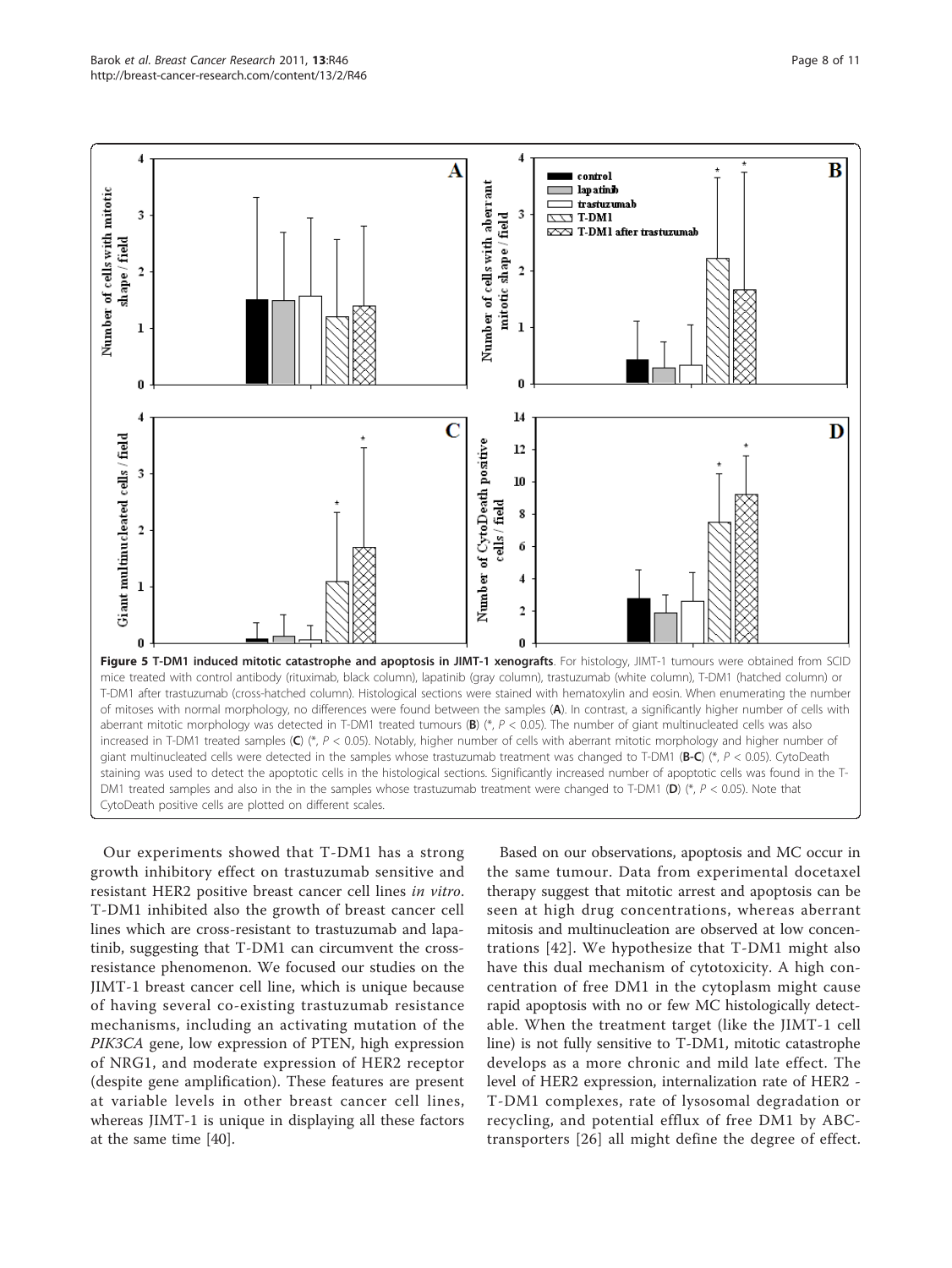<span id="page-8-0"></span>

Our experiments showed that T-DM1 has a strong growth inhibitory effect on trastuzumab sensitive and resistant HER2 positive breast cancer cell lines in vitro. T-DM1 inhibited also the growth of breast cancer cell lines which are cross-resistant to trastuzumab and lapatinib, suggesting that T-DM1 can circumvent the crossresistance phenomenon. We focused our studies on the JIMT-1 breast cancer cell line, which is unique because of having several co-existing trastuzumab resistance mechanisms, including an activating mutation of the PIK3CA gene, low expression of PTEN, high expression of NRG1, and moderate expression of HER2 receptor (despite gene amplification). These features are present at variable levels in other breast cancer cell lines, whereas JIMT-1 is unique in displaying all these factors at the same time [\[40\]](#page-11-0).

Based on our observations, apoptosis and MC occur in the same tumour. Data from experimental docetaxel therapy suggest that mitotic arrest and apoptosis can be seen at high drug concentrations, whereas aberrant mitosis and multinucleation are observed at low concentrations [[42](#page-11-0)]. We hypothesize that T-DM1 might also have this dual mechanism of cytotoxicity. A high concentration of free DM1 in the cytoplasm might cause rapid apoptosis with no or few MC histologically detectable. When the treatment target (like the JIMT-1 cell line) is not fully sensitive to T-DM1, mitotic catastrophe develops as a more chronic and mild late effect. The level of HER2 expression, internalization rate of HER2 - T-DM1 complexes, rate of lysosomal degradation or recycling, and potential efflux of free DM1 by ABCtransporters [[26\]](#page-11-0) all might define the degree of effect.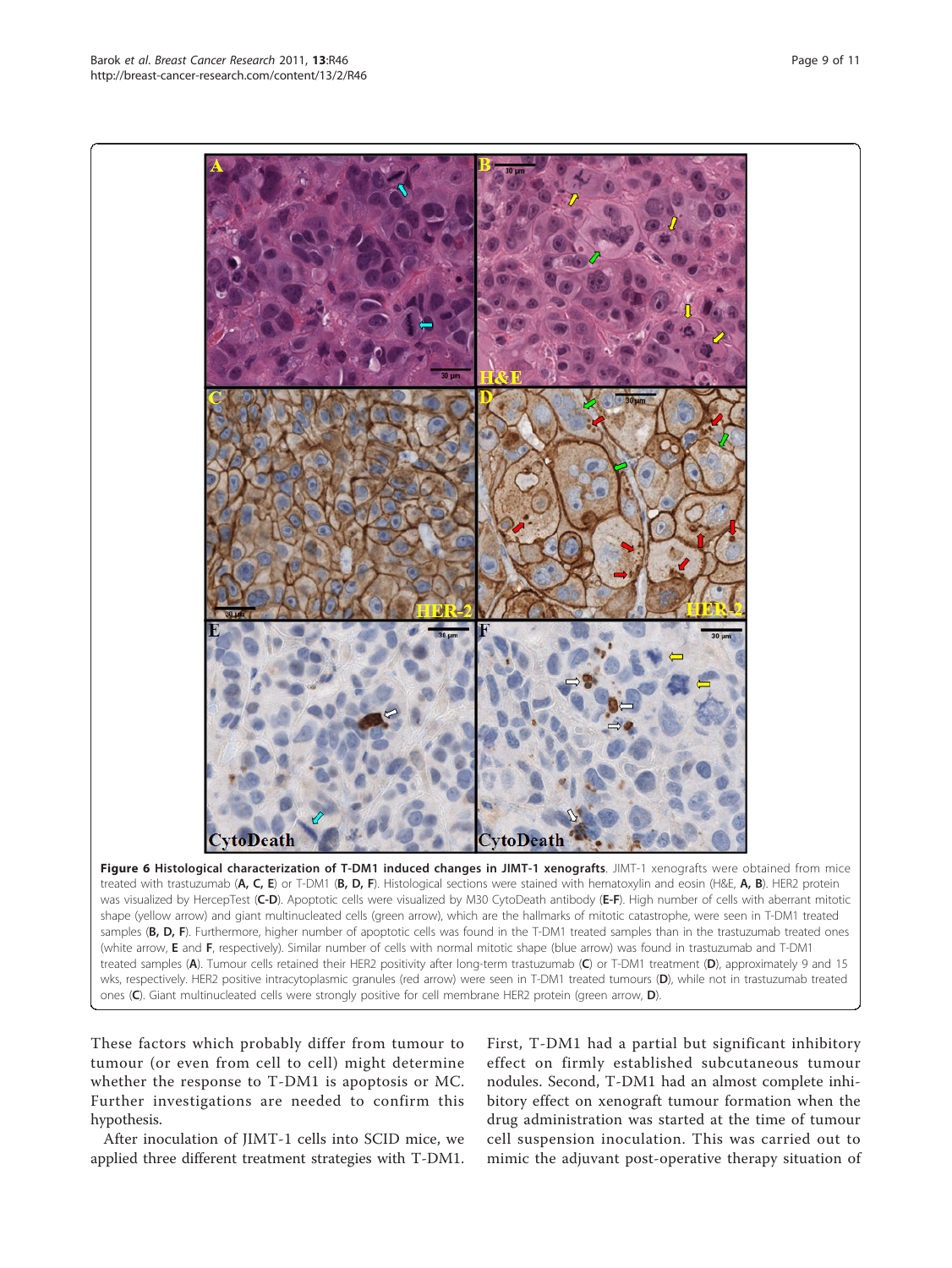After inoculation of JIMT-1 cells into SCID mice, we applied three different treatment strategies with T-DM1. First, T-DM1 had a partial but significant inhibitory effect on firmly established subcutaneous tumour nodules. Second, T-DM1 had an almost complete inhibitory effect on xenograft tumour formation when the drug administration was started at the time of tumour cell suspension inoculation. This was carried out to mimic the adjuvant post-operative therapy situation of

<span id="page-9-0"></span>

(white arrow, E and F, respectively). Similar number of cells with normal mitotic shape (blue arrow) was found in trastuzumab and T-DM1 treated samples (A). Tumour cells retained their HER2 positivity after long-term trastuzumab (C) or T-DM1 treatment (D), approximately 9 and 15 wks, respectively. HER2 positive intracytoplasmic granules (red arrow) were seen in T-DM1 treated tumours (D), while not in trastuzumab treated

ones (C). Giant multinucleated cells were strongly positive for cell membrane HER2 protein (green arrow, D).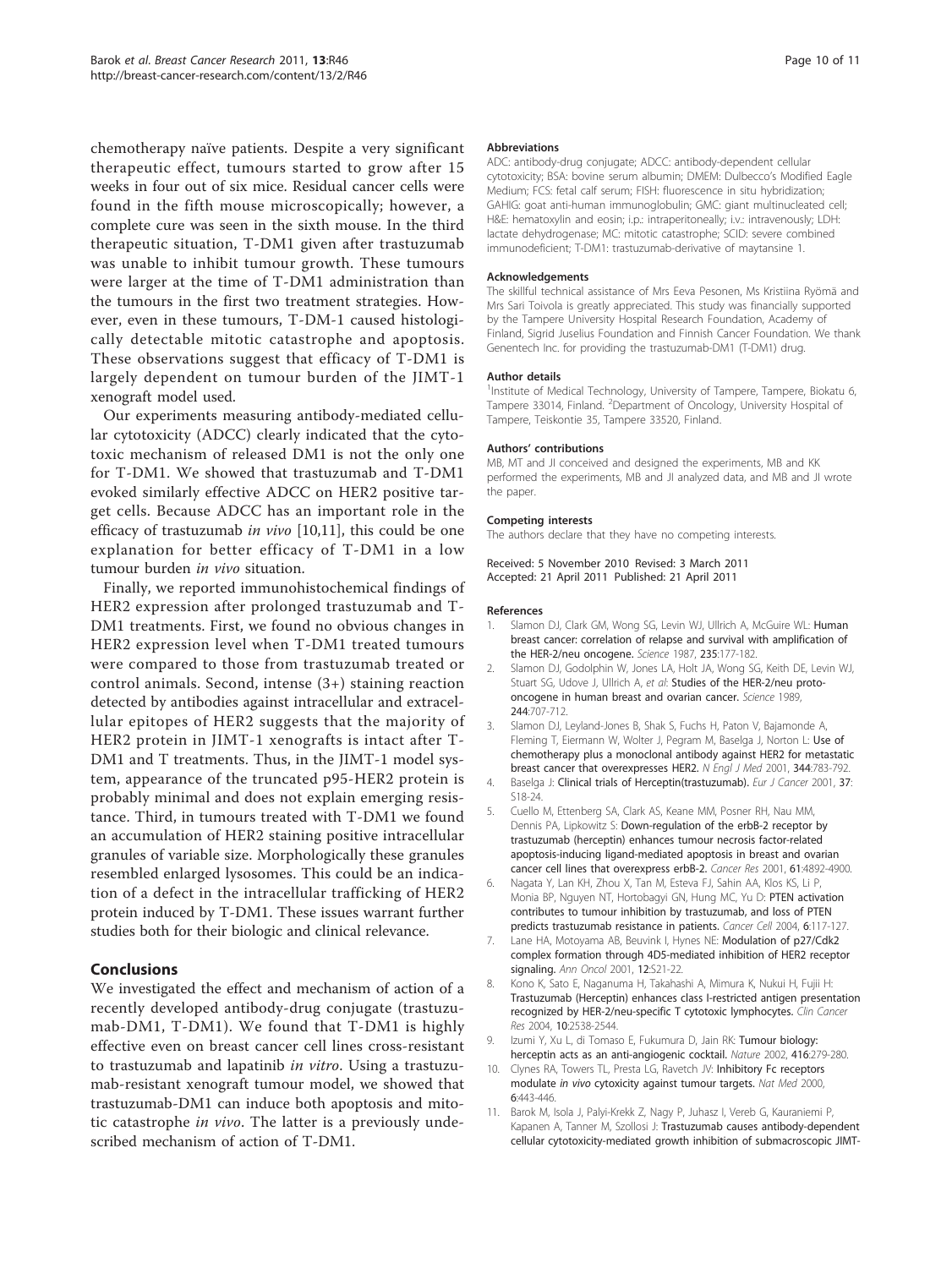<span id="page-10-0"></span>chemotherapy naïve patients. Despite a very significant therapeutic effect, tumours started to grow after 15 weeks in four out of six mice. Residual cancer cells were found in the fifth mouse microscopically; however, a complete cure was seen in the sixth mouse. In the third therapeutic situation, T-DM1 given after trastuzumab was unable to inhibit tumour growth. These tumours were larger at the time of T-DM1 administration than the tumours in the first two treatment strategies. However, even in these tumours, T-DM-1 caused histologically detectable mitotic catastrophe and apoptosis. These observations suggest that efficacy of T-DM1 is largely dependent on tumour burden of the JIMT-1 xenograft model used.

Our experiments measuring antibody-mediated cellular cytotoxicity (ADCC) clearly indicated that the cytotoxic mechanism of released DM1 is not the only one for T-DM1. We showed that trastuzumab and T-DM1 evoked similarly effective ADCC on HER2 positive target cells. Because ADCC has an important role in the efficacy of trastuzumab in vivo [10,11], this could be one explanation for better efficacy of T-DM1 in a low tumour burden in vivo situation.

Finally, we reported immunohistochemical findings of HER2 expression after prolonged trastuzumab and T-DM1 treatments. First, we found no obvious changes in HER2 expression level when T-DM1 treated tumours were compared to those from trastuzumab treated or control animals. Second, intense (3+) staining reaction detected by antibodies against intracellular and extracellular epitopes of HER2 suggests that the majority of HER2 protein in JIMT-1 xenografts is intact after T-DM1 and T treatments. Thus, in the JIMT-1 model system, appearance of the truncated p95-HER2 protein is probably minimal and does not explain emerging resistance. Third, in tumours treated with T-DM1 we found an accumulation of HER2 staining positive intracellular granules of variable size. Morphologically these granules resembled enlarged lysosomes. This could be an indication of a defect in the intracellular trafficking of HER2 protein induced by T-DM1. These issues warrant further studies both for their biologic and clinical relevance.

# **Conclusions**

We investigated the effect and mechanism of action of a recently developed antibody-drug conjugate (trastuzumab-DM1, T-DM1). We found that T-DM1 is highly effective even on breast cancer cell lines cross-resistant to trastuzumab and lapatinib *in vitro*. Using a trastuzumab-resistant xenograft tumour model, we showed that trastuzumab-DM1 can induce both apoptosis and mitotic catastrophe in vivo. The latter is a previously undescribed mechanism of action of T-DM1.

#### Abbreviations

ADC: antibody-drug conjugate; ADCC: antibody-dependent cellular cytotoxicity; BSA: bovine serum albumin; DMEM: Dulbecco's Modified Eagle Medium; FCS: fetal calf serum; FISH: fluorescence in situ hybridization; GAHIG: goat anti-human immunoglobulin; GMC: giant multinucleated cell; H&E: hematoxylin and eosin; i.p.: intraperitoneally; i.v.: intravenously; LDH: lactate dehydrogenase; MC: mitotic catastrophe; SCID: severe combined immunodeficient; T-DM1: trastuzumab-derivative of maytansine 1.

#### Acknowledgements

The skillful technical assistance of Mrs Eeva Pesonen, Ms Kristiina Ryömä and Mrs Sari Toivola is greatly appreciated. This study was financially supported by the Tampere University Hospital Research Foundation, Academy of Finland, Sigrid Juselius Foundation and Finnish Cancer Foundation. We thank Genentech Inc. for providing the trastuzumab-DM1 (T-DM1) drug.

#### Author details

<sup>1</sup>Institute of Medical Technology, University of Tampere, Tampere, Biokatu 6 Tampere 33014, Finland. <sup>2</sup>Department of Oncology, University Hospital of Tampere, Teiskontie 35, Tampere 33520, Finland.

### Authors' contributions

MB, MT and JI conceived and designed the experiments, MB and KK performed the experiments, MB and JI analyzed data, and MB and JI wrote the paper.

#### Competing interests

The authors declare that they have no competing interests.

Received: 5 November 2010 Revised: 3 March 2011 Accepted: 21 April 2011 Published: 21 April 2011

### References

- 1. Slamon DJ, Clark GM, Wong SG, Levin WJ, Ullrich A, McGuire WL: [Human](http://www.ncbi.nlm.nih.gov/pubmed/3798106?dopt=Abstract) [breast cancer: correlation of relapse and survival with amplification of](http://www.ncbi.nlm.nih.gov/pubmed/3798106?dopt=Abstract) [the HER-2/neu oncogene.](http://www.ncbi.nlm.nih.gov/pubmed/3798106?dopt=Abstract) Science 1987, 235:177-182.
- Slamon DJ, Godolphin W, Jones LA, Holt JA, Wong SG, Keith DE, Levin WJ, Stuart SG, Udove J, Ullrich A, et al: [Studies of the HER-2/neu proto](http://www.ncbi.nlm.nih.gov/pubmed/2470152?dopt=Abstract)[oncogene in human breast and ovarian cancer.](http://www.ncbi.nlm.nih.gov/pubmed/2470152?dopt=Abstract) Science 1989, 244:707-712.
- 3. Slamon DJ, Leyland-Jones B, Shak S, Fuchs H, Paton V, Bajamonde A, Fleming T, Eiermann W, Wolter J, Pegram M, Baselga J, Norton L: [Use of](http://www.ncbi.nlm.nih.gov/pubmed/11248153?dopt=Abstract) [chemotherapy plus a monoclonal antibody against HER2 for metastatic](http://www.ncbi.nlm.nih.gov/pubmed/11248153?dopt=Abstract) [breast cancer that overexpresses HER2.](http://www.ncbi.nlm.nih.gov/pubmed/11248153?dopt=Abstract) N Engl J Med 2001, 344:783-792.
- 4. Baselga J: [Clinical trials of Herceptin\(trastuzumab\).](http://www.ncbi.nlm.nih.gov/pubmed/11167087?dopt=Abstract) Eur J Cancer 2001, 37: S18-24.
- 5. Cuello M, Ettenberg SA, Clark AS, Keane MM, Posner RH, Nau MM, Dennis PA, Lipkowitz S: [Down-regulation of the erbB-2 receptor by](http://www.ncbi.nlm.nih.gov/pubmed/11406568?dopt=Abstract) [trastuzumab \(herceptin\) enhances tumour necrosis factor-related](http://www.ncbi.nlm.nih.gov/pubmed/11406568?dopt=Abstract) [apoptosis-inducing ligand-mediated apoptosis in breast and ovarian](http://www.ncbi.nlm.nih.gov/pubmed/11406568?dopt=Abstract) [cancer cell lines that overexpress erbB-2.](http://www.ncbi.nlm.nih.gov/pubmed/11406568?dopt=Abstract) Cancer Res 2001, 61:4892-4900.
- 6. Nagata Y, Lan KH, Zhou X, Tan M, Esteva FJ, Sahin AA, Klos KS, Li P, Monia BP, Nguyen NT, Hortobagyi GN, Hung MC, Yu D: [PTEN activation](http://www.ncbi.nlm.nih.gov/pubmed/15324695?dopt=Abstract) [contributes to tumour inhibition by trastuzumab, and loss of PTEN](http://www.ncbi.nlm.nih.gov/pubmed/15324695?dopt=Abstract) [predicts trastuzumab resistance in patients.](http://www.ncbi.nlm.nih.gov/pubmed/15324695?dopt=Abstract) Cancer Cell 2004, 6:117-127.
- 7. Lane HA, Motoyama AB, Beuvink I, Hynes NE: [Modulation of p27/Cdk2](http://www.ncbi.nlm.nih.gov/pubmed/11804379?dopt=Abstract) [complex formation through 4D5-mediated inhibition of HER2 receptor](http://www.ncbi.nlm.nih.gov/pubmed/11804379?dopt=Abstract) [signaling.](http://www.ncbi.nlm.nih.gov/pubmed/11804379?dopt=Abstract) Ann Oncol 2001, 12:S21-22.
- 8. Kono K, Sato E, Naganuma H, Takahashi A, Mimura K, Nukui H, Fujii H: [Trastuzumab \(Herceptin\) enhances class I-restricted antigen presentation](http://www.ncbi.nlm.nih.gov/pubmed/15073134?dopt=Abstract) [recognized by HER-2/neu-specific T cytotoxic lymphocytes.](http://www.ncbi.nlm.nih.gov/pubmed/15073134?dopt=Abstract) Clin Cancer Res 2004, 10:2538-2544.
- 9. Izumi Y, Xu L, di Tomaso E, Fukumura D, Jain RK: [Tumour biology:](http://www.ncbi.nlm.nih.gov/pubmed/11907567?dopt=Abstract) [herceptin acts as an anti-angiogenic cocktail.](http://www.ncbi.nlm.nih.gov/pubmed/11907567?dopt=Abstract) Nature 2002, 416:279-280. 10. Clynes RA, Towers TL, Presta LG, Ravetch JV: [Inhibitory Fc receptors](http://www.ncbi.nlm.nih.gov/pubmed/10742152?dopt=Abstract)
- modulate in vivo [cytoxicity against tumour targets.](http://www.ncbi.nlm.nih.gov/pubmed/10742152?dopt=Abstract) Nat Med 2000, 6:443-446.
- 11. Barok M, Isola J, Palyi-Krekk Z, Nagy P, Juhasz I, Vereb G, Kauraniemi P, Kapanen A, Tanner M, Szollosi J: [Trastuzumab causes antibody-dependent](http://www.ncbi.nlm.nih.gov/pubmed/17620435?dopt=Abstract) [cellular cytotoxicity-mediated growth inhibition of submacroscopic JIMT-](http://www.ncbi.nlm.nih.gov/pubmed/17620435?dopt=Abstract)